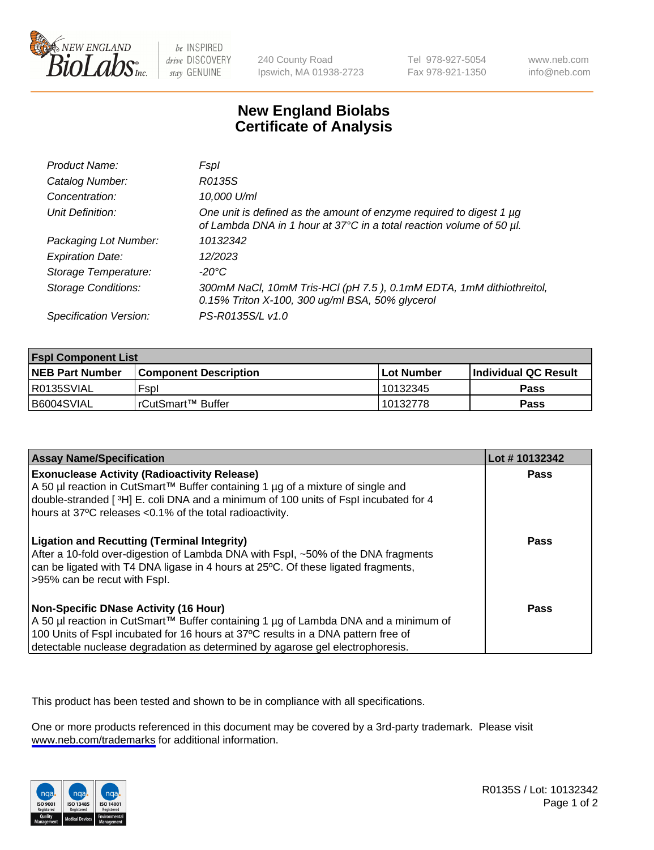

be INSPIRED drive DISCOVERY stay GENUINE

240 County Road Ipswich, MA 01938-2723 Tel 978-927-5054 Fax 978-921-1350

www.neb.com info@neb.com

## **New England Biolabs Certificate of Analysis**

| Product Name:              | Fspl                                                                                                                                        |
|----------------------------|---------------------------------------------------------------------------------------------------------------------------------------------|
| Catalog Number:            | R0135S                                                                                                                                      |
| Concentration:             | 10,000 U/ml                                                                                                                                 |
| Unit Definition:           | One unit is defined as the amount of enzyme required to digest 1 µg<br>of Lambda DNA in 1 hour at 37°C in a total reaction volume of 50 µl. |
| Packaging Lot Number:      | 10132342                                                                                                                                    |
| <b>Expiration Date:</b>    | 12/2023                                                                                                                                     |
| Storage Temperature:       | -20°C                                                                                                                                       |
| <b>Storage Conditions:</b> | 300mM NaCl, 10mM Tris-HCl (pH 7.5), 0.1mM EDTA, 1mM dithiothreitol,<br>0.15% Triton X-100, 300 ug/ml BSA, 50% glycerol                      |
| Specification Version:     | PS-R0135S/L v1.0                                                                                                                            |

| <b>Fspl Component List</b> |                              |                   |                       |  |
|----------------------------|------------------------------|-------------------|-----------------------|--|
| <b>NEB Part Number</b>     | <b>Component Description</b> | <b>Lot Number</b> | ∣Individual QC Result |  |
| R0135SVIAL                 | Fspl                         | 10132345          | Pass                  |  |
| B6004SVIAL                 | l rCutSmart™ Buffer          | 10132778          | Pass                  |  |

| <b>Assay Name/Specification</b>                                                                                                                                                                                                                                                                           | Lot #10132342 |
|-----------------------------------------------------------------------------------------------------------------------------------------------------------------------------------------------------------------------------------------------------------------------------------------------------------|---------------|
| <b>Exonuclease Activity (Radioactivity Release)</b><br>A 50 µl reaction in CutSmart™ Buffer containing 1 µg of a mixture of single and<br>double-stranded [3H] E. coli DNA and a minimum of 100 units of Fspl incubated for 4<br>hours at 37°C releases <0.1% of the total radioactivity.                 | Pass          |
| <b>Ligation and Recutting (Terminal Integrity)</b><br>After a 10-fold over-digestion of Lambda DNA with Fspl, ~50% of the DNA fragments<br>can be ligated with T4 DNA ligase in 4 hours at 25°C. Of these ligated fragments,<br>>95% can be recut with Fspl.                                              | <b>Pass</b>   |
| <b>Non-Specific DNase Activity (16 Hour)</b><br>A 50 µl reaction in CutSmart™ Buffer containing 1 µg of Lambda DNA and a minimum of<br>100 Units of Fspl incubated for 16 hours at 37°C results in a DNA pattern free of<br>detectable nuclease degradation as determined by agarose gel electrophoresis. | Pass          |

This product has been tested and shown to be in compliance with all specifications.

One or more products referenced in this document may be covered by a 3rd-party trademark. Please visit <www.neb.com/trademarks>for additional information.